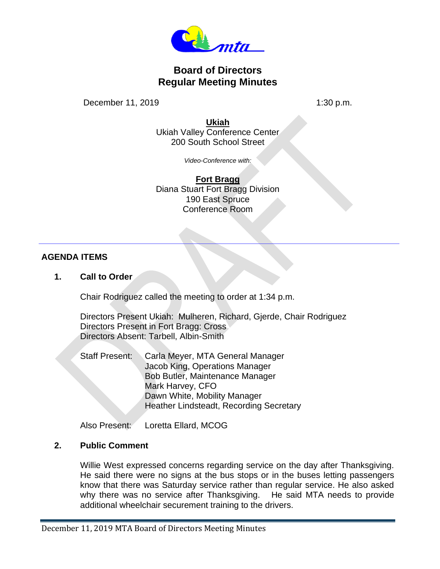

# **Board of Directors Regular Meeting Minutes**

December 11, 2019 1:30 p.m.

**Ukiah**

Ukiah Valley Conference Center 200 South School Street

*Video-Conference with:*

**Fort Bragg** Diana Stuart Fort Bragg Division 190 East Spruce Conference Room

## **AGENDA ITEMS**

**1. Call to Order**

Chair Rodriguez called the meeting to order at 1:34 p.m.

Directors Present Ukiah: Mulheren, Richard, Gjerde, Chair Rodriguez Directors Present in Fort Bragg: Cross Directors Absent: Tarbell, Albin-Smith

Staff Present: Carla Meyer, MTA General Manager Jacob King, Operations Manager Bob Butler, Maintenance Manager Mark Harvey, CFO Dawn White, Mobility Manager Heather Lindsteadt, Recording Secretary

Also Present: Loretta Ellard, MCOG

#### **2. Public Comment**

Willie West expressed concerns regarding service on the day after Thanksgiving. He said there were no signs at the bus stops or in the buses letting passengers know that there was Saturday service rather than regular service. He also asked why there was no service after Thanksgiving. He said MTA needs to provide additional wheelchair securement training to the drivers.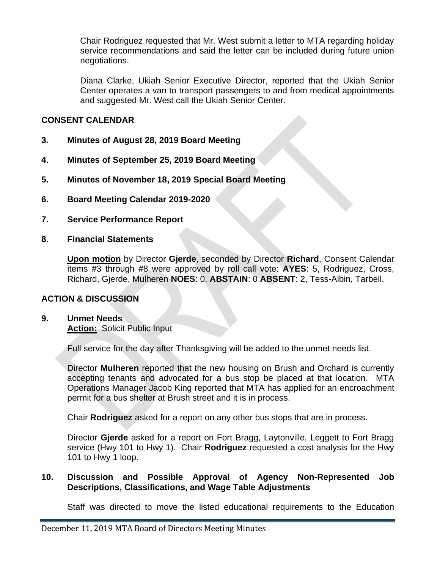Chair Rodriguez requested that Mr. West submit a letter to MTA regarding holiday service recommendations and said the letter can be included during future union negotiations.

Diana Clarke, Ukiah Senior Executive Director, reported that the Ukiah Senior Center operates a van to transport passengers to and from medical appointments and suggested Mr. West call the Ukiah Senior Center.

## **CONSENT CALENDAR**

- **3. Minutes of August 28, 2019 Board Meeting**
- **4**. **Minutes of September 25, 2019 Board Meeting**
- **5. Minutes of November 18, 2019 Special Board Meeting**
- **6. Board Meeting Calendar 2019-2020**
- **7. Service Performance Report**
- **8**. **Financial Statements**

**Upon motion** by Director **Gjerde**, seconded by Director **Richard**, Consent Calendar items #3 through #8 were approved by roll call vote: **AYES**: 5, Rodriguez, Cross, Richard, Gjerde, Mulheren **NOES**: 0, **ABSTAIN**: 0 **ABSENT**: 2, Tess-Albin, Tarbell,

#### **ACTION & DISCUSSION**

# **9. Unmet Needs**

**Action:** Solicit Public Input

Full service for the day after Thanksgiving will be added to the unmet needs list.

Director **Mulheren** reported that the new housing on Brush and Orchard is currently accepting tenants and advocated for a bus stop be placed at that location. MTA Operations Manager Jacob King reported that MTA has applied for an encroachment permit for a bus shelter at Brush street and it is in process.

Chair **Rodriguez** asked for a report on any other bus stops that are in process.

Director **Gjerde** asked for a report on Fort Bragg, Laytonville, Leggett to Fort Bragg service (Hwy 101 to Hwy 1). Chair **Rodriguez** requested a cost analysis for the Hwy 101 to Hwy 1 loop.

## **10. Discussion and Possible Approval of Agency Non-Represented Job Descriptions, Classifications, and Wage Table Adjustments**

Staff was directed to move the listed educational requirements to the Education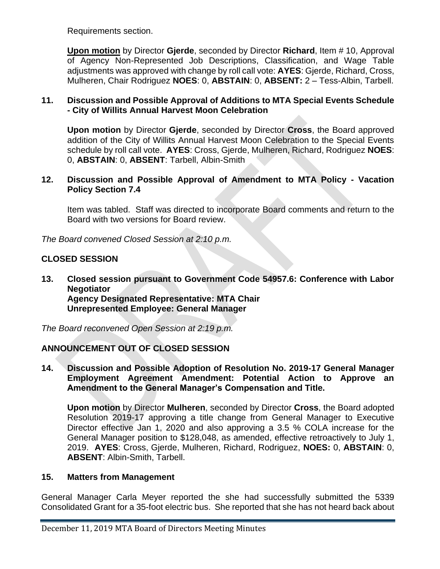Requirements section.

**Upon motion** by Director **Gjerde**, seconded by Director **Richard**, Item # 10, Approval of Agency Non-Represented Job Descriptions, Classification, and Wage Table adjustments was approved with change by roll call vote: **AYES**: Gjerde, Richard, Cross, Mulheren, Chair Rodriguez **NOES**: 0, **ABSTAIN**: 0, **ABSENT:** 2 – Tess-Albin, Tarbell.

## **11. Discussion and Possible Approval of Additions to MTA Special Events Schedule - City of Willits Annual Harvest Moon Celebration**

**Upon motion** by Director **Gjerde**, seconded by Director **Cross**, the Board approved addition of the City of Willits Annual Harvest Moon Celebration to the Special Events schedule by roll call vote. **AYES**: Cross, Gjerde, Mulheren, Richard, Rodriguez **NOES**: 0, **ABSTAIN**: 0, **ABSENT**: Tarbell, Albin-Smith

#### **12. Discussion and Possible Approval of Amendment to MTA Policy - Vacation Policy Section 7.4**

Item was tabled. Staff was directed to incorporate Board comments and return to the Board with two versions for Board review.

*The Board convened Closed Session at 2:10 p.m.*

# **CLOSED SESSION**

**13. Closed session pursuant to Government Code 54957.6: Conference with Labor Negotiator Agency Designated Representative: MTA Chair Unrepresented Employee: General Manager**

*The Board reconvened Open Session at 2:19 p.m.*

# **ANNOUNCEMENT OUT OF CLOSED SESSION**

**14. Discussion and Possible Adoption of Resolution No. 2019-17 General Manager Employment Agreement Amendment: Potential Action to Approve an Amendment to the General Manager's Compensation and Title.**

**Upon motion** by Director **Mulheren**, seconded by Director **Cross**, the Board adopted Resolution 2019-17 approving a title change from General Manager to Executive Director effective Jan 1, 2020 and also approving a 3.5 % COLA increase for the General Manager position to \$128,048, as amended, effective retroactively to July 1, 2019. **AYES**: Cross, Gjerde, Mulheren, Richard, Rodriguez, **NOES:** 0, **ABSTAIN**: 0, **ABSENT**: Albin-Smith, Tarbell.

#### **15. Matters from Management**

General Manager Carla Meyer reported the she had successfully submitted the 5339 Consolidated Grant for a 35-foot electric bus. She reported that she has not heard back about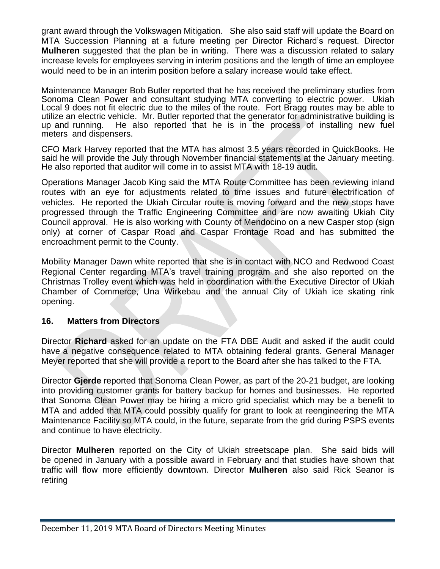grant award through the Volkswagen Mitigation. She also said staff will update the Board on MTA Succession Planning at a future meeting per Director Richard's request. Director **Mulheren** suggested that the plan be in writing. There was a discussion related to salary increase levels for employees serving in interim positions and the length of time an employee would need to be in an interim position before a salary increase would take effect.

Maintenance Manager Bob Butler reported that he has received the preliminary studies from Sonoma Clean Power and consultant studying MTA converting to electric power. Ukiah Local 9 does not fit electric due to the miles of the route. Fort Bragg routes may be able to utilize an electric vehicle. Mr. Butler reported that the generator for administrative building is up and running. He also reported that he is in the process of installing new fuel meters and dispensers.

CFO Mark Harvey reported that the MTA has almost 3.5 years recorded in QuickBooks. He said he will provide the July through November financial statements at the January meeting. He also reported that auditor will come in to assist MTA with 18-19 audit.

Operations Manager Jacob King said the MTA Route Committee has been reviewing inland routes with an eye for adjustments related to time issues and future electrification of vehicles. He reported the Ukiah Circular route is moving forward and the new stops have progressed through the Traffic Engineering Committee and are now awaiting Ukiah City Council approval. He is also working with County of Mendocino on a new Casper stop (sign only) at corner of Caspar Road and Caspar Frontage Road and has submitted the encroachment permit to the County.

Mobility Manager Dawn white reported that she is in contact with NCO and Redwood Coast Regional Center regarding MTA's travel training program and she also reported on the Christmas Trolley event which was held in coordination with the Executive Director of Ukiah Chamber of Commerce, Una Wirkebau and the annual City of Ukiah ice skating rink opening.

#### **16. Matters from Directors**

Director **Richard** asked for an update on the FTA DBE Audit and asked if the audit could have a negative consequence related to MTA obtaining federal grants. General Manager Meyer reported that she will provide a report to the Board after she has talked to the FTA.

Director **Gjerde** reported that Sonoma Clean Power, as part of the 20-21 budget, are looking into providing customer grants for battery backup for homes and businesses. He reported that Sonoma Clean Power may be hiring a micro grid specialist which may be a benefit to MTA and added that MTA could possibly qualify for grant to look at reengineering the MTA Maintenance Facility so MTA could, in the future, separate from the grid during PSPS events and continue to have electricity.

Director **Mulheren** reported on the City of Ukiah streetscape plan. She said bids will be opened in January with a possible award in February and that studies have shown that traffic will flow more efficiently downtown. Director **Mulheren** also said Rick Seanor is retiring